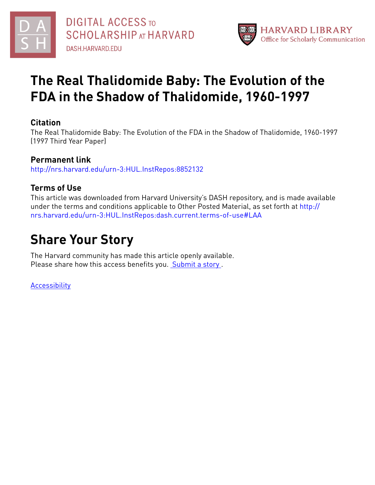



# **The Real Thalidomide Baby: The Evolution of the FDA in the Shadow of Thalidomide, 1960-1997**

## **Citation**

The Real Thalidomide Baby: The Evolution of the FDA in the Shadow of Thalidomide, 1960-1997 (1997 Third Year Paper)

## **Permanent link**

<http://nrs.harvard.edu/urn-3:HUL.InstRepos:8852132>

## **Terms of Use**

This article was downloaded from Harvard University's DASH repository, and is made available under the terms and conditions applicable to Other Posted Material, as set forth at [http://](http://nrs.harvard.edu/urn-3:HUL.InstRepos:dash.current.terms-of-use#LAA) [nrs.harvard.edu/urn-3:HUL.InstRepos:dash.current.terms-of-use#LAA](http://nrs.harvard.edu/urn-3:HUL.InstRepos:dash.current.terms-of-use#LAA)

# **Share Your Story**

The Harvard community has made this article openly available. Please share how this access benefits you. [Submit](http://osc.hul.harvard.edu/dash/open-access-feedback?handle=&title=The%20Real%20Thalidomide%20Baby:%20The%20Evolution%20of%20the%20FDA%20in%20the%20Shadow%20of%20Thalidomide,%201960-1997&community=1/7&collection=1/2788313&owningCollection1/2788313&harvardAuthors=f3b55790cdddd1a24f393cfccf79f430&department) a story .

[Accessibility](https://dash.harvard.edu/pages/accessibility)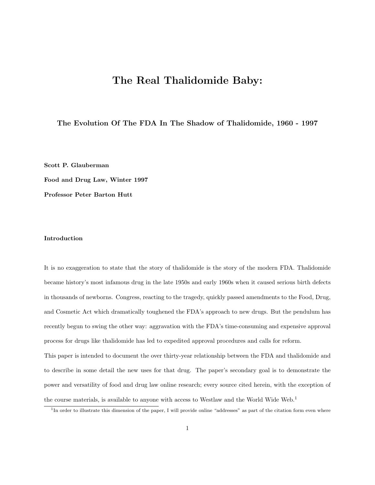# The Real Thalidomide Baby:

### The Evolution Of The FDA In The Shadow of Thalidomide, 1960 - 1997

Scott P. Glauberman

Food and Drug Law, Winter 1997

Professor Peter Barton Hutt

#### Introduction

It is no exaggeration to state that the story of thalidomide is the story of the modern FDA. Thalidomide became history's most infamous drug in the late 1950s and early 1960s when it caused serious birth defects in thousands of newborns. Congress, reacting to the tragedy, quickly passed amendments to the Food, Drug, and Cosmetic Act which dramatically toughened the FDA's approach to new drugs. But the pendulum has recently begun to swing the other way: aggravation with the FDA's time-consuming and expensive approval process for drugs like thalidomide has led to expedited approval procedures and calls for reform.

This paper is intended to document the over thirty-year relationship between the FDA and thalidomide and to describe in some detail the new uses for that drug. The paper's secondary goal is to demonstrate the power and versatility of food and drug law online research; every source cited herein, with the exception of the course materials, is available to anyone with access to Westlaw and the World Wide Web.<sup>1</sup>

<sup>&</sup>lt;sup>1</sup>In order to illustrate this dimension of the paper, I will provide online "addresses" as part of the citation form even where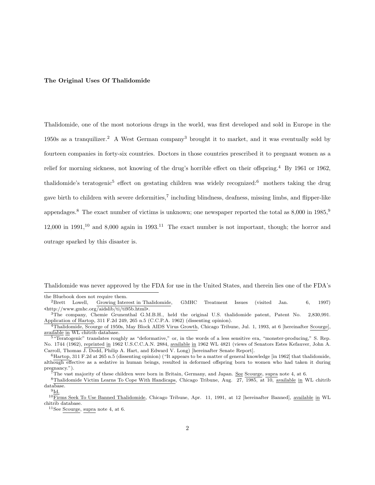#### The Original Uses Of Thalidomide

Thalidomide, one of the most notorious drugs in the world, was first developed and sold in Europe in the 1950s as a tranquilizer.<sup>2</sup> A West German company<sup>3</sup> brought it to market, and it was eventually sold by fourteen companies in forty-six countries. Doctors in those countries prescribed it to pregnant women as a relief for morning sickness, not knowing of the drug's horrible effect on their offspring.<sup>4</sup> By 1961 or 1962, thalidomide's teratogenic<sup>5</sup> effect on gestating children was widely recognized:<sup>6</sup> mothers taking the drug gave birth to children with severe deformities,<sup>7</sup> including blindness, deafness, missing limbs, and flipper-like appendages.<sup>8</sup> The exact number of victims is unknown; one newspaper reported the total as 8,000 in 1985,<sup>9</sup> 12,000 in 1991,<sup>10</sup> and 8,000 again in 1993.<sup>11</sup> The exact number is not important, though; the horror and outrage sparked by this disaster is.

Thalidomide was never approved by the FDA for use in the United States, and therein lies one of the FDA's

the Bluebook does not require them.<br> $2Brett$  Lowell, Growing Inter

Growing Interest in Thalidomide, GMHC Treatment Issues (visited Jan. 6, 1997) <http://www.gmhc.org/aidslib/ti/ti95b.html>.

<sup>3</sup>The company, Chemie Grunenthal G.M.B.H., held the original U.S. thalidomide patent, Patent No. 2,830,991. Application of Hartop, 311 F.2d 249, 265 n.5 (C.C.P.A. 1962) (dissenting opinion).

<sup>&</sup>lt;sup>4</sup>Thalidomide, Scourge of 1950s, May Block AIDS Virus Growth, Chicago Tribune, Jul. 1, 1993, at 6 [hereinafter Scourge], available in WL chitrib database.

<sup>&</sup>lt;sup>5</sup> "Teratogenic" translates roughly as "deformative," or, in the words of a less sensitive era, "monster-producing," S. Rep. No. 1744 (1962), reprinted in 1962 U.S.C.C.A.N. 2884, available in 1962 WL 4821 (views of Senators Estes Kefauver, John A. Carroll, Thomas J. Dodd, Philip A. Hart, and Edward V. Long) [hereinafter Senate Report].

<sup>6</sup>Hartop, 311 F.2d at 265 n.5 (dissenting opinion) ("It appears to be a matter of general knowledge [in 1962] that thalidomide, although effective as a sedative in human beings, resulted in deformed offspring born to women who had taken it during pregnancy.").

 $\tilde{7}$ The vast majority of these children were born in Britain, Germany, and Japan. See Scourge, supra note 4, at 6.

<sup>&</sup>lt;sup>8</sup>Thalidomide Victim Learns To Cope With Handicaps, Chicago Tribune, Aug. 27,  $\overline{1985}$ , at  $\overline{10}$ , available in WL chitrib database.

 $^{9}$ Id.

<sup>&</sup>lt;sup>10</sup>Firms Seek To Use Banned Thalidomide, Chicago Tribune, Apr. 11, 1991, at 12 [hereinafter Banned], available in WL chitrib database.

<sup>&</sup>lt;sup>11</sup>See Scourge, supra note 4, at 6.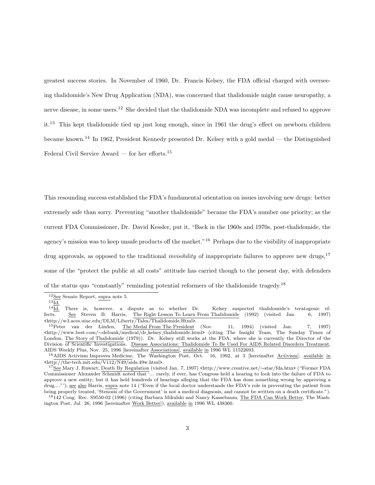greatest success stories. In November of 1960, Dr. Francis Kelsey, the FDA official charged with overseeing thalidomide's New Drug Application (NDA), was concerned that thalidomide might cause neuropathy, a nerve disease, in some users.<sup>12</sup> She decided that the thalidomide NDA was incomplete and refused to approve it.<sup>13</sup> This kept thalidomide tied up just long enough, since in 1961 the drug's effect on newborn children became known.<sup>14</sup> In 1962, President Kennedy presented Dr. Kelsey with a gold medal — the Distinguished Federal Civil Service Award — for her efforts.<sup>15</sup>

This resounding success established the FDA's fundamental orientation on issues involving new drugs: better extremely safe than sorry. Preventing "another thalidomide" became the FDA's number one priority; as the current FDA Commissioner, Dr. David Kessler, put it, "Back in the 1960s and 1970s, post-thalidomide, the agency's mission was to keep unsafe products off the market."<sup>16</sup> Perhaps due to the visibility of inappropriate drug approvals, as opposed to the traditional *invisibility* of inappropriate failures to approve new drugs,<sup>17</sup> some of the "protect the public at all costs" attitude has carried though to the present day, with defenders of the status quo "constantly" reminding potential reformers of the thalidomide tragedy.<sup>18</sup>

<sup>12</sup>See Senate Report, supra note 5.

 $\frac{^{13}\mathrm{Id.}}{^{14}\mathrm{Id.}}$ There is, however, a dispute as to whether Dr. Kelsey suspected thalidomide's teratogenic effects. See Steven B. Harris, The Right Lesson To Learn From Thalidomide (1992) (visited Jan. 6, 1997)  $\frac{2}{15}$  <br> (http://w3.aces.uiuc.edu/DLM/Liberty/Tales/Thalidomide.Html>. $^{15}$ <br> <br>Peter  $\,$  van  $\,$  der  $\,$  Linden,  $\,$  The Medal From The President

The Medal From The President (Nov. 11, 1994) (visited Jan. 7, 1997) <http://www.best.com/∼debunk/medical/dr kelsey thalidomide.html> (citing The Insight Team, The Sunday Times of London, The Story of Thalidomide (1979)). Dr. Kelsey still works at the FDA, where she is currently the Director of the Division of Scientific Investigations. Disease Associations: Thalidomide To Be Used For AIDS Related Disorders Treatment, AIDS Weekly Plus, Nov. 25, 1996 [hereinafter Associations], available in 1996 WL 11522693.

<sup>&</sup>lt;sup>16</sup>AIDS Activism Improves Medicine, The Washington Post, Oct.  $16$ , 1992, at 3 [hereinafter Activism], available in <http://the-tech.mit.edu/V112/N49/aids.49w.html>.

<sup>17</sup>See Mary J. Ruwart, Death By Regulation (visited Jan. 7, 1997) <http://www.creative.net/∼star/fda.htm> ("Former FDA Commissioner Alexander Schmidt noted that '... rarely, if ever, has Congress held a hearing to look into the failure of FDA to approve a new entity; but it has held hundreds of hearings alleging that the FDA has done something wrong by approving a drug...."'); see also Harris, supra note 14 ("Even if the local doctor understands the FDA's role in preventing the patient from being properly treated, 'Stenosis of the Government' is not a medical diagnosis, and cannot be written on a death certificate.").

<sup>18</sup>142 Cong. Rec. S9550-02 (1996) (citing Barbara Mikulski and Nancy Kassebaum, The FDA Can Work Better, The Washington Post, Jul. 26, 1996 [hereinafter Work Better]), available in 1996 WL 438360.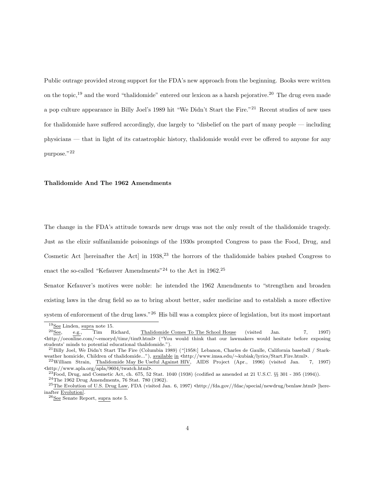Public outrage provided strong support for the FDA's new approach from the beginning. Books were written on the topic,<sup>19</sup> and the word "thalidomide" entered our lexicon as a harsh pejorative.<sup>20</sup> The drug even made a pop culture appearance in Billy Joel's 1989 hit "We Didn't Start the Fire."<sup>21</sup> Recent studies of new uses for thalidomide have suffered accordingly, due largely to "disbelief on the part of many people — including physicians — that in light of its catastrophic history, thalidomide would ever be offered to anyone for any purpose."<sup>22</sup>

#### Thalidomide And The 1962 Amendments

The change in the FDA's attitude towards new drugs was not the only result of the thalidomide tragedy. Just as the elixir sulfanilamide poisonings of the 1930s prompted Congress to pass the Food, Drug, and Cosmetic Act [hereinafter the Act] in  $1938$ ,<sup>23</sup> the horrors of the thalidomide babies pushed Congress to enact the so-called "Kefauver Amendments"<sup>24</sup> to the Act in 1962.<sup>25</sup>

Senator Kefauver's motives were noble: he intended the 1962 Amendments to "strengthen and broaden existing laws in the drug field so as to bring about better, safer medicine and to establish a more effective system of enforcement of the drug laws."<sup>26</sup> His bill was a complex piece of legislation, but its most important

 $^{19}\underline{\rm See}$  Linden, supra note 15.

 $20$  See, e.g., Tim Richard, Thalidomide Comes To The School House (visited Jan. 7, 1997) <http://oeonline.com/∼emoryd/timr/tim9.html> ("You would think that our lawmakers would hesitate before exposing students' minds to potential educational thalidomide.").

<sup>21</sup>Billy Joel, We Didn't Start The Fire (Columbia 1989) ("[1958:] Lebanon, Charles de Gaulle, California baseball / Starkweather homicide, Children of thalidomide..."), available in <http://www.imsa.edu/∼kubiak/lyrics/Start.Fire.html>.

 $22$ William Strain, Thalidomide May Be Useful Against HIV, AIDS Project (Apr., 1996) (visited Jan. 7, 1997) <http://www.apla.org/apla/9604/twatch.html>.

 $^{23}$ Food, Drug, and Cosmetic Act, ch. 675, 52 Stat. 1040 (1938) (codified as amended at 21 U.S.C. §§ 301 - 395 (1994)). <sup>24</sup>The 1962 Drug Amendments, 76 Stat. 780 (1962).

 $^{25}$ The Evolution of U.S. Drug Law, FDA (visited Jan. 6, 1997) <http://fda.gov//fdac/special/newdrug/benlaw.html> [hereinafter Evolution].

<sup>26</sup>See Senate Report, supra note 5.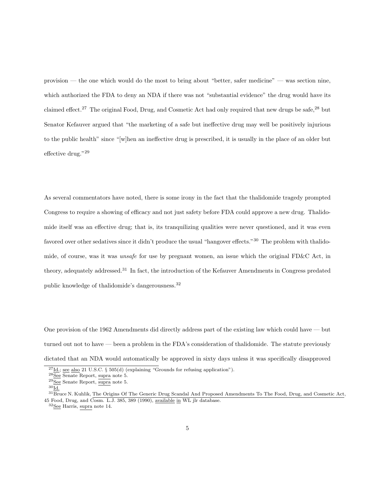provision — the one which would do the most to bring about "better, safer medicine" — was section nine, which authorized the FDA to deny an NDA if there was not "substantial evidence" the drug would have its claimed effect.<sup>27</sup> The original Food, Drug, and Cosmetic Act had only required that new drugs be safe.<sup>28</sup> but Senator Kefauver argued that "the marketing of a safe but ineffective drug may well be positively injurious to the public health" since "[w]hen an ineffective drug is prescribed, it is usually in the place of an older but effective drug."<sup>29</sup>

As several commentators have noted, there is some irony in the fact that the thalidomide tragedy prompted Congress to require a showing of efficacy and not just safety before FDA could approve a new drug. Thalidomide itself was an effective drug; that is, its tranquilizing qualities were never questioned, and it was even favored over other sedatives since it didn't produce the usual "hangover effects."<sup>30</sup> The problem with thalidomide, of course, was it was unsafe for use by pregnant women, an issue which the original FD&C Act, in theory, adequately addressed.<sup>31</sup> In fact, the introduction of the Kefauver Amendments in Congress predated public knowledge of thalidomide's dangerousness.<sup>32</sup>

One provision of the 1962 Amendments did directly address part of the existing law which could have — but turned out not to have — been a problem in the FDA's consideration of thalidomide. The statute previously dictated that an NDA would automatically be approved in sixty days unless it was specifically disapproved

 $^{27}$ <u>Id.; see also</u> 21 U.S.C. § 505(d) (explaining "Grounds for refusing application").

<sup>&</sup>lt;sup>28</sup>See Senate Report, supra note 5.

<sup>29</sup>See Senate Report, supra note 5.

 $^{30}\mathrm{Id}.$ 

 $31\overline{\text{Br}}$ uce N. Kuhlik, The Origins Of The Generic Drug Scandal And Proposed Amendments To The Food, Drug, and Cosmetic Act, 45 Food, Drug, and Cosm. L.J. 385, 389 (1990), available in WL jlr database.

<sup>32</sup>See Harris, supra note 14.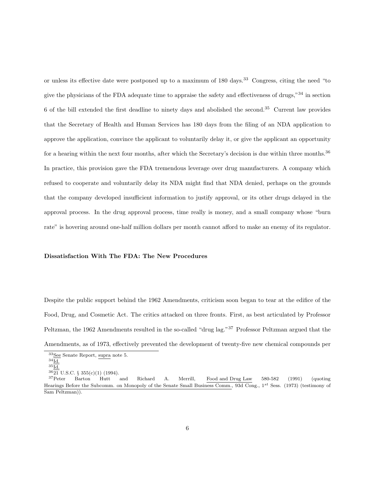or unless its effective date were postponed up to a maximum of 180 days.<sup>33</sup> Congress, citing the need "to give the physicians of the FDA adequate time to appraise the safety and effectiveness of drugs,"<sup>34</sup> in section 6 of the bill extended the first deadline to ninety days and abolished the second.<sup>35</sup> Current law provides that the Secretary of Health and Human Services has 180 days from the filing of an NDA application to approve the application, convince the applicant to voluntarily delay it, or give the applicant an opportunity for a hearing within the next four months, after which the Secretary's decision is due within three months.<sup>36</sup> In practice, this provision gave the FDA tremendous leverage over drug manufacturers. A company which refused to cooperate and voluntarily delay its NDA might find that NDA denied, perhaps on the grounds that the company developed insufficient information to justify approval, or its other drugs delayed in the approval process. In the drug approval process, time really is money, and a small company whose "burn rate" is hovering around one-half million dollars per month cannot afford to make an enemy of its regulator.

### Dissatisfaction With The FDA: The New Procedures

Despite the public support behind the 1962 Amendments, criticism soon began to tear at the edifice of the Food, Drug, and Cosmetic Act. The critics attacked on three fronts. First, as best articulated by Professor Peltzman, the 1962 Amendments resulted in the so-called "drug lag."<sup>37</sup> Professor Peltzman argued that the Amendments, as of 1973, effectively prevented the development of twenty-five new chemical compounds per

 $36\overline{21}$  U.S.C. § 355(c)(1) (1994).

 $33\text{See}$  Senate Report, supra note 5.

 $^{34}\underline{\mbox{Id.}}$ 

 $^{35}$ Id.

<sup>37</sup>Peter Barton Hutt and Richard A. Merrill, Food and Drug Law 580-582 (1991) (quoting Hearings Before the Subcomm. on Monopoly of the Senate Small Business Comm., 93d Cong., 1<sup>st</sup> Sess. (1973) (testimony of Sam Peltzman)).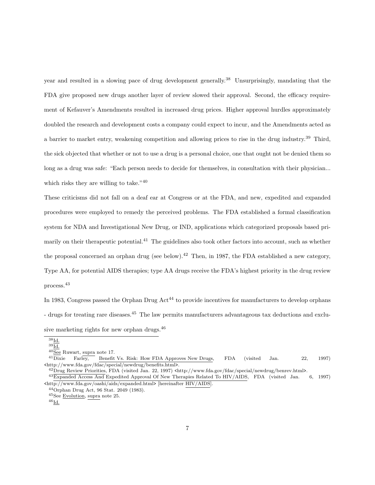year and resulted in a slowing pace of drug development generally.<sup>38</sup> Unsurprisingly, mandating that the FDA give proposed new drugs another layer of review slowed their approval. Second, the efficacy requirement of Kefauver's Amendments resulted in increased drug prices. Higher approval hurdles approximately doubled the research and development costs a company could expect to incur, and the Amendments acted as a barrier to market entry, weakening competition and allowing prices to rise in the drug industry.<sup>39</sup> Third, the sick objected that whether or not to use a drug is a personal choice, one that ought not be denied them so long as a drug was safe: "Each person needs to decide for themselves, in consultation with their physician... which risks they are willing to take."<sup>40</sup>

These criticisms did not fall on a deaf ear at Congress or at the FDA, and new, expedited and expanded procedures were employed to remedy the perceived problems. The FDA established a formal classification system for NDA and Investigational New Drug, or IND, applications which categorized proposals based primarily on their therapeutic potential.<sup>41</sup> The guidelines also took other factors into account, such as whether the proposal concerned an orphan drug (see below).<sup>42</sup> Then, in 1987, the FDA established a new category, Type AA, for potential AIDS therapies; type AA drugs receive the FDA's highest priority in the drug review process.<sup>43</sup>

In 1983, Congress passed the Orphan Drug  $\text{Act}^{44}$  to provide incentives for manufacturers to develop orphans - drugs for treating rare diseases.<sup>45</sup> The law permits manufacturers advantageous tax deductions and exclusive marketing rights for new orphan drugs.<sup>46</sup>

42Drug Review Priorities, FDA (visited Jan. 22, 1997) <http://www.fda.gov/fdac/special/newdrug/benrev.html>.

<sup>38</sup>Id.

 $^{39}\underline{\mathrm{Id.}}$ 

 $\frac{40}{20} \frac{1}{\text{Bee}} \text{Ruwart, } \frac{\text{supra}}{\text{Beneft}} \text{note} 17.$ Farley, Benefit Vs. Risk: How FDA Approves New Drugs, FDA (visited Jan. 22, 1997)

<sup>&</sup>lt;http://www.fda.gov/fdac/special/newdrug/benefits.html>.

<sup>43</sup>Expanded Access And Expedited Approval Of New Therapies Related To HIV/AIDS, FDA (visited Jan. 6, 1997) <http://www.fda.gov/oashi/aids/expanded.html> [hereinafter HIV/AIDS].

<sup>44</sup>Orphan Drug Act, 96 Stat. 2049 (1983).

<sup>45</sup>See Evolution, supra note 25.

 $^{46}$ Id.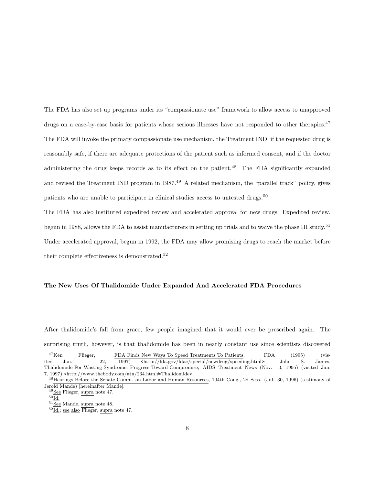The FDA has also set up programs under its "compassionate use" framework to allow access to unapproved drugs on a case-by-case basis for patients whose serious illnesses have not responded to other therapies.<sup>47</sup> The FDA will invoke the primary compassionate use mechanism, the Treatment IND, if the requested drug is reasonably safe, if there are adequate protections of the patient such as informed consent, and if the doctor administering the drug keeps records as to its effect on the patient.<sup>48</sup> The FDA significantly expanded and revised the Treatment IND program in 1987.<sup>49</sup> A related mechanism, the "parallel track" policy, gives patients who are unable to participate in clinical studies access to untested drugs.<sup>50</sup>

The FDA has also instituted expedited review and accelerated approval for new drugs. Expedited review, begun in 1988, allows the FDA to assist manufacturers in setting up trials and to waive the phase III study.<sup>51</sup> Under accelerated approval, begun in 1992, the FDA may allow promising drugs to reach the market before their complete effectiveness is demonstrated.<sup>52</sup>

#### The New Uses Of Thalidomide Under Expanded And Accelerated FDA Procedures

After thalidomide's fall from grace, few people imagined that it would ever be prescribed again. The surprising truth, however, is that thalidomide has been in nearly constant use since scientists discovered

<sup>&</sup>lt;sup>47</sup>Ken Flieger, FDA Finds New Ways To Speed Treatments To Patients, FDA (1995) (visited Jan. 22, 1997)  $\text{thtp: //fda.gov/fdac/special/news/speeding.html}$ ; John S. James, Thalidomide For Wasting Syndrome: Progress Toward Compromise, AIDS Treatment News (Nov. 3, 1995) (visited Jan. 7, 1997) <http://www.thebody.com/atn/234.html#Thalidomide>.

<sup>48</sup>Hearings Before the Senate Comm. on Labor and Human Resources, 104th Cong., 2d Sess. (Jul. 30, 1996) (testimony of Jerold Mande) [hereinafter Mande].

 $^{49}\underline{\rm See}$  Flieger, supra note 47.

 $^{50}\mathrm{Id}.$ 

 $51\overline{\underline{\text{See}}}$  Mande, supra note 48.

 $52\overline{\text{Id.}}$ ; see also Flieger, supra note 47.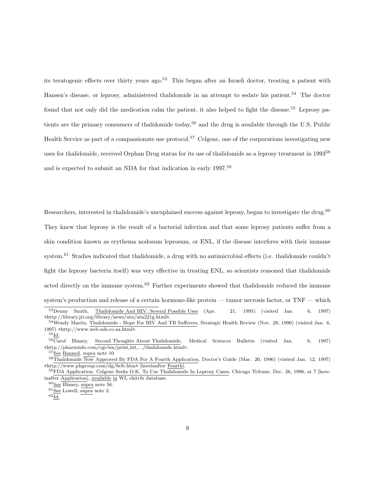its teratogenic effects over thirty years ago.<sup>53</sup> This began after an Israeli doctor, treating a patient with Hansen's disease, or leprosy, administered thalidomide in an attempt to sedate his patient.<sup>54</sup> The doctor found that not only did the medication calm the patient, it also helped to fight the disease.<sup>55</sup> Leprosy patients are the primary consumers of thalidomide today,<sup>56</sup> and the drug is available through the U.S. Public Health Service as part of a compassionate use protocol.<sup>57</sup> Celgene, one of the corporations investigating new uses for thalidomide, received Orphan Drug status for its use of thalidomide as a leprosy treatment in 1993<sup>58</sup> and is expected to submit an NDA for that indication in early 1997.<sup>59</sup>

Researchers, interested in thalidomide's unexplained success against leprosy, began to investigate the drug.<sup>60</sup> They knew that leprosy is the result of a bacterial infection and that some leprosy patients suffer from a skin condition known as erythema nodosum leprosum, or ENL, if the disease interferes with their immune system.<sup>61</sup> Studies indicated that thalidomide, a drug with no antimicrobial effects (i.e. thalidomide couldn't fight the leprosy bacteria itself) was very effective in treating ENL, so scientists reasoned that thalidomide acted directly on the immune system.<sup>62</sup> Further experiments showed that thalidomide reduced the immune system's production and release of a certain hormone-like protein — tumor necrosis factor, or TNF — which <sup>53</sup>Denny Smith, Thalidomide And HIV: Several Possible Uses (Apr. 21, 1995) (visited Jan. 6, 1997)

<sup>&</sup>lt;http://library.jri.org/library/news/atn/atn221g.html>. <sup>54</sup>Wendy Maritz, Thalidomide - Hope For HIV And TB Sufferers, Strategic Health Review (Nov. 28, 1996) (visited Jan. 6,

<sup>1997)</sup> <http://www.web-ads.co.za.html>.  $^{55}$ Id.

<sup>&</sup>lt;sup>56</sup>Carol Blaney, Second Thoughts About Thalidomide, Medical Sciences Bulletin (visited Jan. 6, 1997) <http://pharminfo.com/cgi-bin/print hit .../thalidomide.html>.

<sup>&</sup>lt;sup>57</sup>See Banned, supra note 10.

<sup>&</sup>lt;sup>58</sup>Thalidomide Now Approved By FDA For A Fourth Application, Doctor's Guide (Mar. 20, 1996) (visited Jan. 12, 1997) <http://www.plsgroup.com/dg/6cfe.htm> [hereinafter Fourth].

<sup>59</sup>FDA Application: Celgene Seeks O.K. To Use Thalidomide In Leprosy Cases, Chicago Tribune, Dec. 26, 1996, at 7 [hereinafter Application], available in WL chitrib database.

 $60$ See Blaney, supra note 56.

 $61\overline{\underline{\mathsf{See}}}$  Lowell, supra note 2.

 $62$ Id.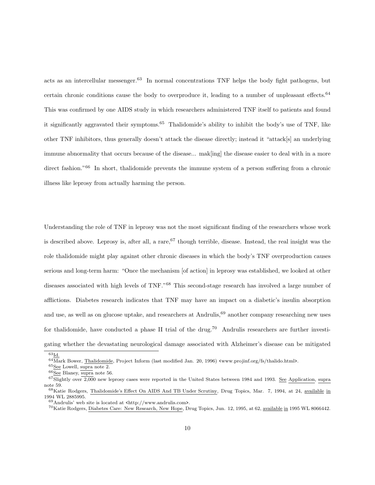acts as an intercellular messenger.<sup>63</sup> In normal concentrations TNF helps the body fight pathogens, but certain chronic conditions cause the body to overproduce it, leading to a number of unpleasant effects.<sup>64</sup> This was confirmed by one AIDS study in which researchers administered TNF itself to patients and found it significantly aggravated their symptoms.<sup>65</sup> Thalidomide's ability to inhibit the body's use of TNF, like other TNF inhibitors, thus generally doesn't attack the disease directly; instead it "attack[s] an underlying immune abnormality that occurs because of the disease... mak[ing] the disease easier to deal with in a more direct fashion."<sup>66</sup> In short, thalidomide prevents the immune system of a person suffering from a chronic illness like leprosy from actually harming the person.

Understanding the role of TNF in leprosy was not the most significant finding of the researchers whose work is described above. Leprosy is, after all, a rare,  $67$  though terrible, disease. Instead, the real insight was the role thalidomide might play against other chronic diseases in which the body's TNF overproduction causes serious and long-term harm: "Once the mechanism [of action] in leprosy was established, we looked at other diseases associated with high levels of TNF."<sup>68</sup> This second-stage research has involved a large number of afflictions. Diabetes research indicates that TNF may have an impact on a diabetic's insulin absorption and use, as well as on glucose uptake, and researchers at Andrulis,<sup>69</sup> another company researching new uses for thalidomide, have conducted a phase II trial of the drug.<sup>70</sup> Andrulis researchers are further investigating whether the devastating neurological damage associated with Alzheimer's disease can be mitigated

 $\overline{{}^{63}\underline{\text{Id}}}.$ 

<sup>&</sup>lt;sup>64</sup>Mark Bower, Thalidomide, Project Inform (last modified Jan. 20, 1996) <www.projinf.org/fs/thalido.html>.

 $^{65}\underline{\rm See}$  Lowell, supra note 2.

 $66\overline{\underline{\text{See}}}$  Blaney, supra note 56.

 $67$ Slightly over  $2,000$  new leprosy cases were reported in the United States between 1984 and 1993. See Application, supra note 59. <sup>68</sup>Katie Rodgers, Thalidomide's Effect On AIDS And TB Under Scrutiny, Drug Topics, Mar. 7, 1994, at 24, available in 1994 WL 2885995.

 $69$ Andrulis' web site is located at  $\frac{\text{th}}{\text{t}}/$ /www.andrulis.com>.

<sup>&</sup>lt;sup>70</sup>Katie Rodgers, Diabetes Care: New Research, New Hope, Drug Topics, Jun. 12, 1995, at 62, available in 1995 WL 8066442.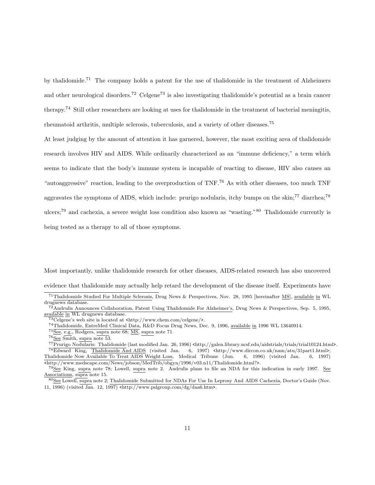by thalidomide.<sup>71</sup> The company holds a patent for the use of thalidomide in the treatment of Alzheimers and other neurological disorders.<sup>72</sup> Celgene<sup>73</sup> is also investigating thalidomide's potential as a brain cancer therapy.<sup>74</sup> Still other researchers are looking at uses for thalidomide in the treatment of bacterial meningitis, rheumatoid arthritis, multiple sclerosis, tuberculosis, and a variety of other diseases.<sup>75</sup>

At least judging by the amount of attention it has garnered, however, the most exciting area of thalidomide research involves HIV and AIDS. While ordinarily characterized as an "immune deficiency," a term which seems to indicate that the body's immune system is incapable of reacting to disease, HIV also causes an "autoaggressive" reaction, leading to the overproduction of TNF.<sup>76</sup> As with other diseases, too much TNF aggravates the symptoms of AIDS, which include: prurigo nodularis, itchy bumps on the skin;<sup>77</sup> diarrhea;<sup>78</sup> ulcers;<sup>79</sup> and cachexia, a severe weight loss condition also known as "wasting."<sup>80</sup> Thalidomide currently is being tested as a therapy to all of those symptoms.

Most importantly, unlike thalidomide research for other diseases, AIDS-related research has also uncovered

evidence that thalidomide may actually help retard the development of the disease itself. Experiments have

 $^{75}$  See, e.g., Rodgers, supra note 68;  $\underline{\text{MS}},$  supra note 71.

<sup>&</sup>lt;sup>71</sup>Thalidomide Studied For Multiple Sclerosis, Drug News & Perspectives, Nov. 28, 1995 [hereinafter MS], available in WL drugnews database.

<sup>72</sup>Andrulis Announces Collaboration, Patent Using Thalidomide For Alzheimer's, Drug News & Perspectives, Sep. 5, 1995, available in WL drugnews database.

 $73$ Celgene's web site is located at  $\text{thttp:}/\text{/www.chem.com/}$ celgene $\text{/s}.$ 

<sup>74</sup>Thalidomide, EntreMed Clinical Data, R&D Focus Drug News, Dec. 9, 1996, available in 1996 WL 13640914.

 $76$ See Smith, supra note 53.

<sup>77</sup>Prurigo Nodularis: Thalidomide (last modified Jan. 26, 1996) <http://galen.library.ucsf.edu/aidstrials/trials/trial10124.html>. <sup>78</sup>Edward King, <u>Thalidomide And AIDS</u> (visited Jan. 6, 1997) <http://www.dircon.co.uk/nam/atu/31part1.html>;<br>halidomide Now Available To Treat AIDS Weight Loss, Medical Tribune (Jun. 6, 1996) (visited Jan. 6, 1997) Thalidomide Now Available To Treat AIDS Weight Loss, Medical Tribune (Jun. 6, 1996) (visited Jan. 6, 1997) <http://www.medscape.com/News/jobson/MedTrib/obgyn/1996/v03.n11/Thalidomide.html?>.

<sup>79</sup>See King, supra note 78; Lowell, supra note 2. Andrulis plans to file an NDA for this indication in early 1997. See Associations, supra note 15.

<sup>80</sup>See Lowell, supra note 2; Thalidomide Submitted for NDAs For Use In Leprosy And AIDS Cachexia, Doctor's Guide (Nov. 11, 1996) (visited Jan. 12, 1997) <http://www.pslgroup.com/dg/daa6.htm>.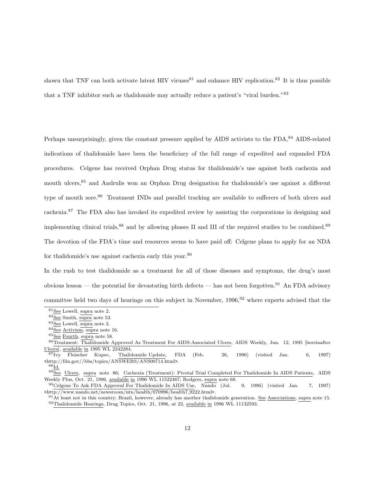shown that TNF can both activate latent HIV viruses<sup>81</sup> and enhance HIV replication.<sup>82</sup> It is thus possible that a TNF inhibitor such as thalidomide may actually reduce a patient's "viral burden."<sup>83</sup>

Perhaps unsurprisingly, given the constant pressure applied by AIDS activists to the FDA,<sup>84</sup> AIDS-related indications of thalidomide have been the beneficiary of the full range of expedited and expanded FDA procedures. Celgene has received Orphan Drug status for thalidomide's use against both cachexia and mouth ulcers,<sup>85</sup> and Andrulis won an Orphan Drug designation for thalidomide's use against a different type of mouth sore.<sup>86</sup> Treatment INDs and parallel tracking are available to sufferers of both ulcers and cachexia.<sup>87</sup> The FDA also has invoked its expedited review by assisting the corporations in designing and implementing clinical trials,<sup>88</sup> and by allowing phases II and III of the required studies to be combined.<sup>89</sup> The devotion of the FDA's time and resources seems to have paid off: Celgene plans to apply for an NDA for thalidomide's use against cachexia early this year.<sup>90</sup>

In the rush to test thalidomide as a treatment for all of those diseases and symptoms, the drug's most obvious lesson — the potential for devastating birth defects — has not been forgotten.<sup>91</sup> An FDA advisory committee held two days of hearings on this subject in November,  $1996<sup>92</sup>$  where experts advised that the

 $^{88}\underline{\text{Id.}}$ 

 ${}^{81}\underline{\rm See}$  Lowell, supra note 2.

 $82\overline{\text{See}}$  Smith, supra note 53.

 $83$ See Lowell, supra note 2.

<sup>84</sup>See Activism, supra note 16.

 $85\overline{See}$  Fourth, supra note 58.

<sup>86</sup>Treatment: Thalidomide Approved As Treatment For AIDS-Associated Ulcers, AIDS Weekly, Jun. 12, 1995 [hereinafter Ulcers], available in 1995 WL 2242284.

 $\overline{87}_{\text{Ivy}}$  Fleischer Kupec, Thalidomide Update, FDA (Feb. 26, 1996) (visited Jan. 6, 1997) <http://fda.gov//bbs/topics/ANSWERS/ANS00714.html>.

<sup>&</sup>lt;sup>89</sup>See Ulcers, supra note 86; Cachexia (Treatment): Pivotal Trial Completed For Thalidomide In AIDS Patients, AIDS Weekly Plus, Oct. 21, 1996, available in 1996 WL 11522467; Rodgers, supra note 68.

<sup>90</sup>Celgene To Ask FDA Approval For Thalidomide In AIDS Use, Nando (Jul. 9, 1996) (visited Jan. 7, 1997)  $\frac{\text{tht}}{\text{pt}}$ //www.nando.net/newsroom/ntn/health/070996/health7\_9222.html>.

 $91$ At least not in this country; Brazil, however, already has another thalidomide generation. See Associations, supra note 15.  $92$ Thalidomide Hearings, Drug Topics, Oct. 21, 1996, at 22, available in 1996 WL 11132593.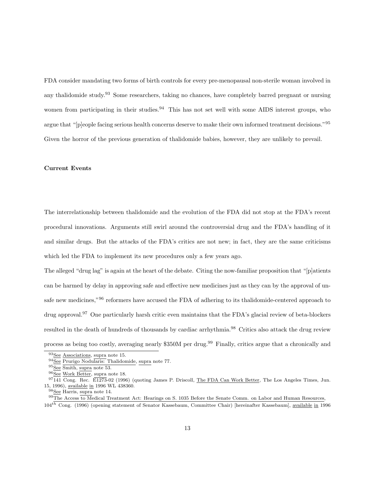FDA consider mandating two forms of birth controls for every pre-menopausal non-sterile woman involved in any thalidomide study.<sup>93</sup> Some researchers, taking no chances, have completely barred pregnant or nursing women from participating in their studies.<sup>94</sup> This has not set well with some AIDS interest groups, who argue that "[p]eople facing serious health concerns deserve to make their own informed treatment decisions."<sup>95</sup> Given the horror of the previous generation of thalidomide babies, however, they are unlikely to prevail.

## Current Events

The interrelationship between thalidomide and the evolution of the FDA did not stop at the FDA's recent procedural innovations. Arguments still swirl around the controversial drug and the FDA's handling of it and similar drugs. But the attacks of the FDA's critics are not new; in fact, they are the same criticisms which led the FDA to implement its new procedures only a few years ago.

The alleged "drug lag" is again at the heart of the debate. Citing the now-familiar proposition that "[p]atients can be harmed by delay in approving safe and effective new medicines just as they can by the approval of unsafe new medicines,"<sup>96</sup> reformers have accused the FDA of adhering to its thalidomide-centered approach to drug approval.<sup>97</sup> One particularly harsh critic even maintains that the FDA's glacial review of beta-blockers resulted in the death of hundreds of thousands by cardiac arrhythmia.<sup>98</sup> Critics also attack the drug review process as being too costly, averaging nearly \$350M per drug.<sup>99</sup> Finally, critics argue that a chronically and

<sup>93</sup>See Associations, supra note 15.

 $94\overline{\underline{\mathsf{See}}}$  Prurigo Nodularis: Thalidomide, supra note 77.

<sup>95</sup>See Smith, supra note 53.

 $96\overline{See}$  Work Better, supra note 18.

 $97141$  Cong. Rec.  $\overline{E1273}$ -02 (1996) (quoting James P. Driscoll, The FDA Can Work Better, The Los Angeles Times, Jun. 15, 1996), available in 1996 WL 438360.

 ${}^{3}$ See Harris, supra note 14.

 $99$ The Access to Medical Treatment Act: Hearings on S. 1035 Before the Senate Comm. on Labor and Human Resources,

 $104$ <sup>th</sup> Cong. (1996) (opening statement of Senator Kassebaum, Committee Chair) [hereinafter Kassebaum], <u>available in</u> 1996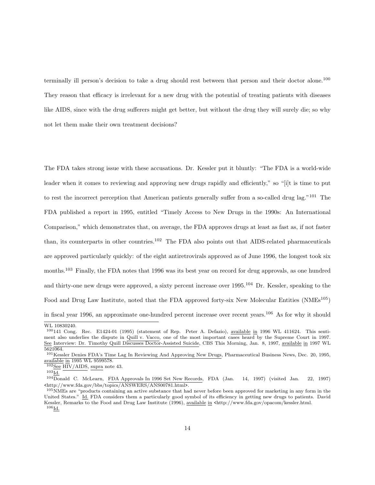terminally ill person's decision to take a drug should rest between that person and their doctor alone.<sup>100</sup> They reason that efficacy is irrelevant for a new drug with the potential of treating patients with diseases like AIDS, since with the drug sufferers might get better, but without the drug they will surely die; so why not let them make their own treatment decisions?

The FDA takes strong issue with these accusations. Dr. Kessler put it bluntly: "The FDA is a world-wide leader when it comes to reviewing and approving new drugs rapidly and efficiently," so "[i]t is time to put to rest the incorrect perception that American patients generally suffer from a so-called drug lag."<sup>101</sup> The FDA published a report in 1995, entitled "Timely Access to New Drugs in the 1990s: An International Comparison," which demonstrates that, on average, the FDA approves drugs at least as fast as, if not faster than, its counterparts in other countries.<sup>102</sup> The FDA also points out that AIDS-related pharmaceuticals are approved particularly quickly: of the eight antiretrovirals approved as of June 1996, the longest took six months.<sup>103</sup> Finally, the FDA notes that 1996 was its best year on record for drug approvals, as one hundred and thirty-one new drugs were approved, a sixty percent increase over 1995.<sup>104</sup> Dr. Kessler, speaking to the Food and Drug Law Institute, noted that the FDA approved forty-six New Molecular Entities (NMEs<sup>105</sup>) in fiscal year 1996, an approximate one-hundred percent increase over recent years.<sup>106</sup> As for why it should

WL 10830240.

 $100141$  Cong. Rec. E1424-01 (1995) (statement of Rep. Peter A. Defazio), available in 1996 WL 411624. This sentiment also underlies the dispute in Quill v. Vacco, one of the most important cases heard by the Supreme Court in 1997. See Interview: Dr. Timothy Quill Discusses Doctor-Assisted Suicide, CBS This Morning, Jan. 8, 1997, available in 1997 WL 5621064.

<sup>101</sup>Kessler Denies FDA's Time Lag In Reviewing And Approving New Drugs, Pharmaceutical Business News, Dec. 20, 1995, available in 1995 WL 9599578.

 $102$ See HIV/AIDS, supra note 43.

 $^{103}$ Id.

<sup>104</sup>Donald C. McLearn, FDA Approvals In 1996 Set New Records, FDA (Jan. 14, 1997) (visited Jan. 22, 1997) <http://www.fda.gov/bbs/topics/ANSWERS/ANS00781.html>.

<sup>105&</sup>lt;sub>NMEs</sub> are "products containing an active substance that had never before been approved for marketing in any form in the United States." Id. FDA considers them a particularly good symbol of its efficiency in getting new drugs to patients. David Kessler, Remarks to the Food and Drug Law Institute (1996), available in <http://www.fda.gov/opacom/kessler.html.  $^{106}\mathrm{Id}.$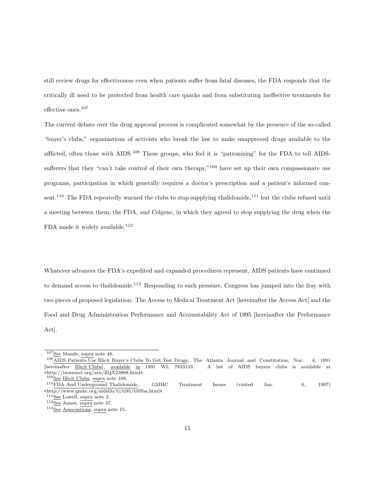still review drugs for effectiveness even when patients suffer from fatal diseases, the FDA responds that the critically ill need to be protected from health care quacks and from substituting ineffective treatments for effective ones.<sup>107</sup>

The current debate over the drug approval process is complicated somewhat by the presence of the so-called "buyer's clubs," organizations of activists who break the law to make unapproved drugs available to the afflicted, often those with AIDS.<sup>108</sup> These groups, who feel it is "patronizing" for the FDA to tell AIDSsufferers that they "can't take control of their own therapy,"<sup>109</sup> have set up their own compassionate use programs, participation in which generally requires a doctor's prescription and a patient's informed consent.<sup>110</sup> The FDA repeatedly warned the clubs to stop supplying thalidomide,<sup>111</sup> but the clubs refused until a meeting between them, the FDA, and Celgene, in which they agreed to stop supplying the drug when the FDA made it widely available.<sup>112</sup>

Whatever advances the FDA's expedited and expanded procedures represent, AIDS patients have continued to demand access to thalidomide.<sup>113</sup> Responding to such pressure, Congress has jumped into the fray with two pieces of proposed legislation: The Access to Medical Treatment Act [hereinafter the Access Act] and the Food and Drug Administration Performance and Accountability Act of 1995 [hereinafter the Performance Act].

 $107$ See Mande, supra note 48.

<sup>108</sup>AIDS Patients Use Illicit Buyer's Clubs To Get Test Drugs, The Atlanta Journal and Constitution, Nov. 4, 1991 [hereinafter Illicit Clubs], available in 1991 WL 7833153. A list of AIDS buyers clubs is available at <http://immunet.org/atn/ZQX23808.html>.

 $109$ See Illicit Clubs, supra note 108.

<sup>110</sup>FDA And Underground Thalidomide, GMHC Treatment Issues (visited Jan. 6, 1997) <http://www.gmhc.org/aidslib/ti/ti95/ti95ba.html>.

 $^{111}\underline{\rm See}$  Lowell, supra note 2.

 $112$  See James, supra note 47.

 $113$ See Associations, supra note 15.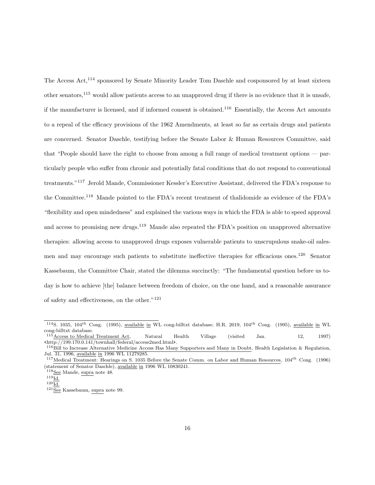The Access Act,<sup>114</sup> sponsored by Senate Minority Leader Tom Daschle and cosponsored by at least sixteen other senators,<sup>115</sup> would allow patients access to an unapproved drug if there is no evidence that it is unsafe, if the manufacturer is licensed, and if informed consent is obtained.<sup>116</sup> Essentially, the Access Act amounts to a repeal of the efficacy provisions of the 1962 Amendments, at least so far as certain drugs and patients are concerned. Senator Daschle, testifying before the Senate Labor & Human Resources Committee, said that "People should have the right to choose from among a full range of medical treatment options — particularly people who suffer from chronic and potentially fatal conditions that do not respond to conventional treatments."<sup>117</sup> Jerold Mande, Commissioner Kessler's Executive Assistant, delivered the FDA's response to the Committee.<sup>118</sup> Mande pointed to the FDA's recent treatment of thalidomide as evidence of the FDA's "flexibility and open mindedness" and explained the various ways in which the FDA is able to speed approval and access to promising new drugs.<sup>119</sup> Mande also repeated the FDA's position on unapproved alternative therapies: allowing access to unapproved drugs exposes vulnerable patients to unscrupulous snake-oil salesmen and may encourage such patients to substitute ineffective therapies for efficacious ones.<sup>120</sup> Senator Kassebaum, the Committee Chair, stated the dilemma succinctly: "The fundamental question before us today is how to achieve [the] balance between freedom of choice, on the one hand, and a reasonable assurance of safety and effectiveness, on the other."<sup>121</sup>

<sup>&</sup>lt;sup>114</sup>S. 1035, 104<sup>th</sup> Cong. (1995), available in WL cong-billtxt database; H.R. 2019, 104<sup>th</sup> Cong. (1995), available in WL cong-billtxt database.

 $115$  $Access to Medical Treatment Act, Natural Health Village (visited Jan. 12, 1997)$ </u> <http://199.170.0.141/townhall/federal/access2med.html>.

<sup>116</sup>Bill to Increase Alternative Medicine Access Has Many Supporters and Many in Doubt, Health Legislation & Regulation, Jul. 31, 1996, available in 1996 WL 11279285.

 $117$ Medical Treatment: Hearings on S. 1035 Before the Senate Comm. on Labor and Human Resources,  $104^{th}$  Cong. (1996) (statement of Senator Daschle), available in 1996 WL 10830241.

<sup>118</sup>See Mande, supra note 48.  $^{119}\mathrm{Id}.$ 

 $120\overline{\underline{\mathrm{Id.}}}$ 

 $^{121}\overline{\text{See}}$ Kassebaum, supra note 99.